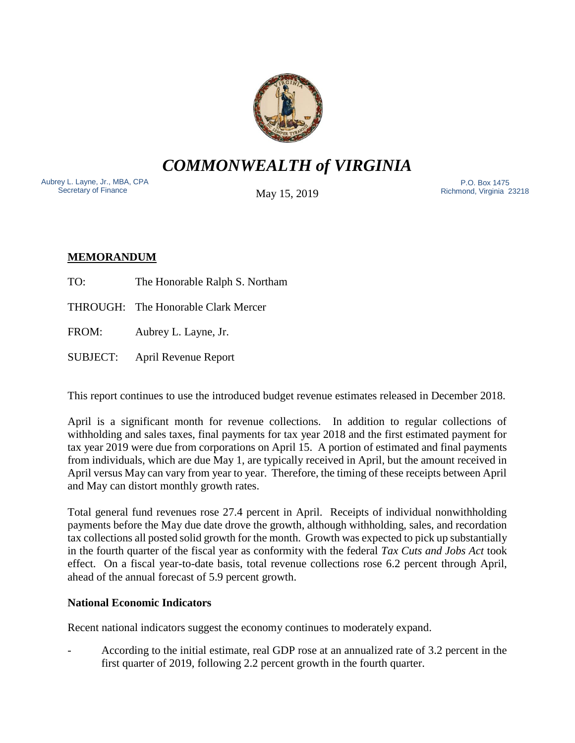

*COMMONWEALTH of VIRGINIA*

Aubrey L. Layne, Jr., MBA, CPA Secretary of Finance

May 15, 2019

 P.O. Box 1475 Richmond, Virginia 23218

# **MEMORANDUM**

- TO: The Honorable Ralph S. Northam
- THROUGH: The Honorable Clark Mercer

FROM: Aubrey L. Layne, Jr.

SUBJECT: April Revenue Report

This report continues to use the introduced budget revenue estimates released in December 2018.

April is a significant month for revenue collections. In addition to regular collections of withholding and sales taxes, final payments for tax year 2018 and the first estimated payment for tax year 2019 were due from corporations on April 15. A portion of estimated and final payments from individuals, which are due May 1, are typically received in April, but the amount received in April versus May can vary from year to year. Therefore, the timing of these receipts between April and May can distort monthly growth rates.

Total general fund revenues rose 27.4 percent in April. Receipts of individual nonwithholding payments before the May due date drove the growth, although withholding, sales, and recordation tax collections all posted solid growth for the month. Growth was expected to pick up substantially in the fourth quarter of the fiscal year as conformity with the federal *Tax Cuts and Jobs Act* took effect. On a fiscal year-to-date basis, total revenue collections rose 6.2 percent through April, ahead of the annual forecast of 5.9 percent growth.

## **National Economic Indicators**

Recent national indicators suggest the economy continues to moderately expand.

- According to the initial estimate, real GDP rose at an annualized rate of 3.2 percent in the first quarter of 2019, following 2.2 percent growth in the fourth quarter.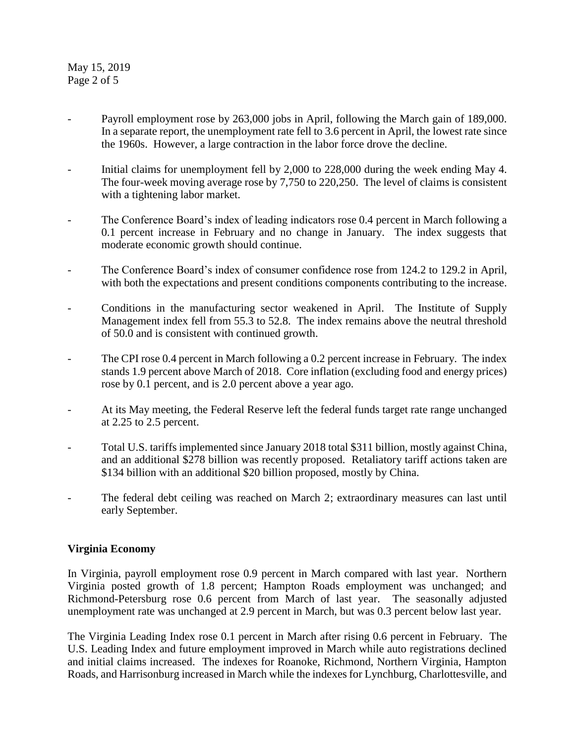May 15, 2019 Page 2 of 5

- Payroll employment rose by 263,000 jobs in April, following the March gain of 189,000. In a separate report, the unemployment rate fell to 3.6 percent in April, the lowest rate since the 1960s. However, a large contraction in the labor force drove the decline.
- Initial claims for unemployment fell by 2,000 to 228,000 during the week ending May 4. The four-week moving average rose by 7,750 to 220,250. The level of claims is consistent with a tightening labor market.
- The Conference Board's index of leading indicators rose 0.4 percent in March following a 0.1 percent increase in February and no change in January. The index suggests that moderate economic growth should continue.
- The Conference Board's index of consumer confidence rose from 124.2 to 129.2 in April, with both the expectations and present conditions components contributing to the increase.
- Conditions in the manufacturing sector weakened in April. The Institute of Supply Management index fell from 55.3 to 52.8. The index remains above the neutral threshold of 50.0 and is consistent with continued growth.
- The CPI rose 0.4 percent in March following a 0.2 percent increase in February. The index stands 1.9 percent above March of 2018. Core inflation (excluding food and energy prices) rose by 0.1 percent, and is 2.0 percent above a year ago.
- At its May meeting, the Federal Reserve left the federal funds target rate range unchanged at 2.25 to 2.5 percent.
- Total U.S. tariffs implemented since January 2018 total \$311 billion, mostly against China, and an additional \$278 billion was recently proposed. Retaliatory tariff actions taken are \$134 billion with an additional \$20 billion proposed, mostly by China.
- The federal debt ceiling was reached on March 2; extraordinary measures can last until early September.

## **Virginia Economy**

In Virginia, payroll employment rose 0.9 percent in March compared with last year. Northern Virginia posted growth of 1.8 percent; Hampton Roads employment was unchanged; and Richmond-Petersburg rose 0.6 percent from March of last year. The seasonally adjusted unemployment rate was unchanged at 2.9 percent in March, but was 0.3 percent below last year.

The Virginia Leading Index rose 0.1 percent in March after rising 0.6 percent in February. The U.S. Leading Index and future employment improved in March while auto registrations declined and initial claims increased. The indexes for Roanoke, Richmond, Northern Virginia, Hampton Roads, and Harrisonburg increased in March while the indexes for Lynchburg, Charlottesville, and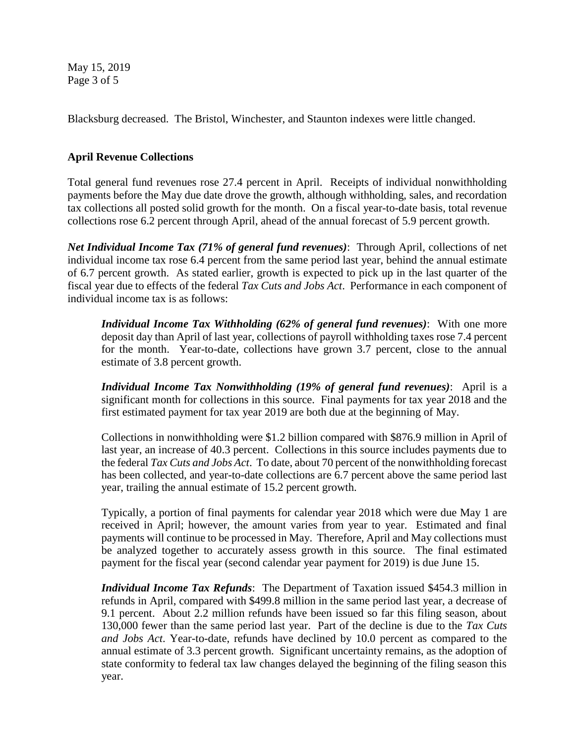May 15, 2019 Page 3 of 5

Blacksburg decreased. The Bristol, Winchester, and Staunton indexes were little changed.

## **April Revenue Collections**

Total general fund revenues rose 27.4 percent in April. Receipts of individual nonwithholding payments before the May due date drove the growth, although withholding, sales, and recordation tax collections all posted solid growth for the month. On a fiscal year-to-date basis, total revenue collections rose 6.2 percent through April, ahead of the annual forecast of 5.9 percent growth.

*Net Individual Income Tax (71% of general fund revenues)*: Through April, collections of net individual income tax rose 6.4 percent from the same period last year, behind the annual estimate of 6.7 percent growth. As stated earlier, growth is expected to pick up in the last quarter of the fiscal year due to effects of the federal *Tax Cuts and Jobs Act*. Performance in each component of individual income tax is as follows:

*Individual Income Tax Withholding (62% of general fund revenues)*: With one more deposit day than April of last year, collections of payroll withholding taxes rose 7.4 percent for the month. Year-to-date, collections have grown 3.7 percent, close to the annual estimate of 3.8 percent growth.

*Individual Income Tax Nonwithholding (19% of general fund revenues)*: April is a significant month for collections in this source. Final payments for tax year 2018 and the first estimated payment for tax year 2019 are both due at the beginning of May.

Collections in nonwithholding were \$1.2 billion compared with \$876.9 million in April of last year, an increase of 40.3 percent. Collections in this source includes payments due to the federal *Tax Cuts and Jobs Act*. To date, about 70 percent of the nonwithholding forecast has been collected, and year-to-date collections are 6.7 percent above the same period last year, trailing the annual estimate of 15.2 percent growth.

Typically, a portion of final payments for calendar year 2018 which were due May 1 are received in April; however, the amount varies from year to year. Estimated and final payments will continue to be processed in May. Therefore, April and May collections must be analyzed together to accurately assess growth in this source. The final estimated payment for the fiscal year (second calendar year payment for 2019) is due June 15.

*Individual Income Tax Refunds*: The Department of Taxation issued \$454.3 million in refunds in April, compared with \$499.8 million in the same period last year, a decrease of 9.1 percent. About 2.2 million refunds have been issued so far this filing season, about 130,000 fewer than the same period last year. Part of the decline is due to the *Tax Cuts and Jobs Act*. Year-to-date, refunds have declined by 10.0 percent as compared to the annual estimate of 3.3 percent growth. Significant uncertainty remains, as the adoption of state conformity to federal tax law changes delayed the beginning of the filing season this year.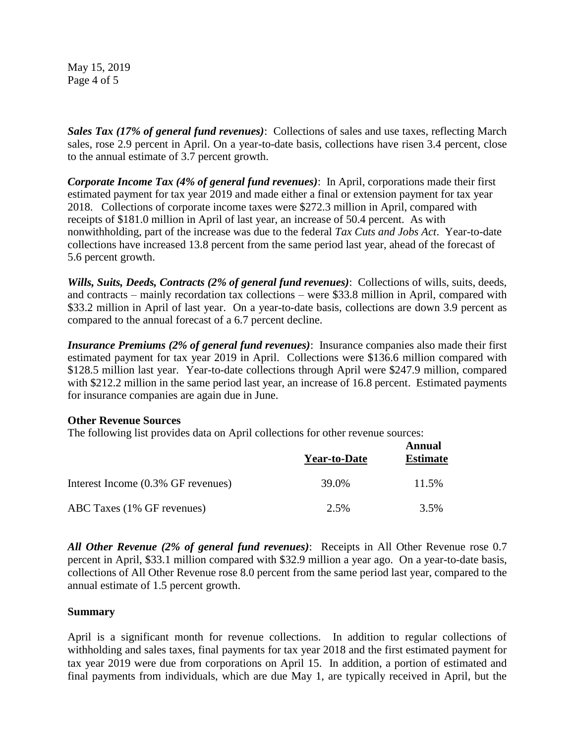May 15, 2019 Page 4 of 5

*Sales Tax (17% of general fund revenues)*: Collections of sales and use taxes, reflecting March sales, rose 2.9 percent in April. On a year-to-date basis, collections have risen 3.4 percent, close to the annual estimate of 3.7 percent growth.

*Corporate Income Tax (4% of general fund revenues)*: In April, corporations made their first estimated payment for tax year 2019 and made either a final or extension payment for tax year 2018. Collections of corporate income taxes were \$272.3 million in April, compared with receipts of \$181.0 million in April of last year, an increase of 50.4 percent. As with nonwithholding, part of the increase was due to the federal *Tax Cuts and Jobs Act*. Year-to-date collections have increased 13.8 percent from the same period last year, ahead of the forecast of 5.6 percent growth.

*Wills, Suits, Deeds, Contracts (2% of general fund revenues)*: Collections of wills, suits, deeds, and contracts – mainly recordation tax collections – were \$33.8 million in April, compared with \$33.2 million in April of last year. On a year-to-date basis, collections are down 3.9 percent as compared to the annual forecast of a 6.7 percent decline.

*Insurance Premiums (2% of general fund revenues)*: Insurance companies also made their first estimated payment for tax year 2019 in April. Collections were \$136.6 million compared with \$128.5 million last year. Year-to-date collections through April were \$247.9 million, compared with \$212.2 million in the same period last year, an increase of 16.8 percent. Estimated payments for insurance companies are again due in June.

## **Other Revenue Sources**

The following list provides data on April collections for other revenue sources:

|                                    | <b>Year-to-Date</b> | Annual<br><b>Estimate</b> |
|------------------------------------|---------------------|---------------------------|
| Interest Income (0.3% GF revenues) | 39.0%               | 11.5%                     |
| ABC Taxes (1% GF revenues)         | 2.5%                | 3.5%                      |

*All Other Revenue (2% of general fund revenues)*: Receipts in All Other Revenue rose 0.7 percent in April, \$33.1 million compared with \$32.9 million a year ago. On a year-to-date basis, collections of All Other Revenue rose 8.0 percent from the same period last year, compared to the annual estimate of 1.5 percent growth.

## **Summary**

April is a significant month for revenue collections. In addition to regular collections of withholding and sales taxes, final payments for tax year 2018 and the first estimated payment for tax year 2019 were due from corporations on April 15. In addition, a portion of estimated and final payments from individuals, which are due May 1, are typically received in April, but the